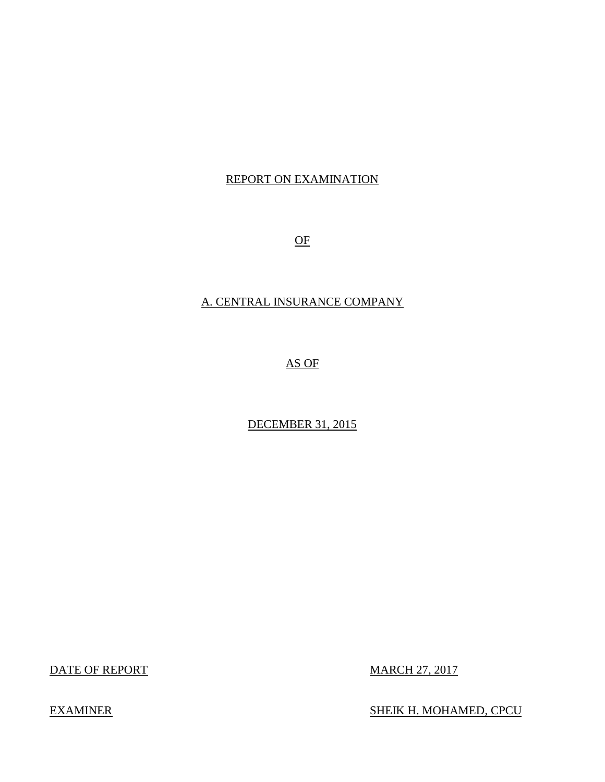## REPORT ON EXAMINATION

OF

## A. CENTRAL INSURANCE COMPANY

AS OF

DECEMBER 31, 2015

DATE OF REPORT MARCH 27, 2017

EXAMINER SHEIK H. MOHAMED, CPCU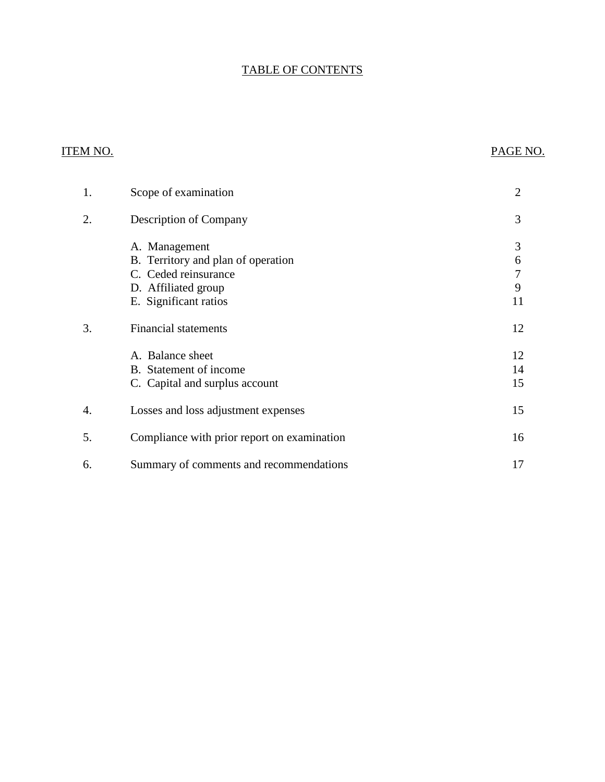## TABLE OF CONTENTS

## ITEM NO. PAGE NO.

| 1. | Scope of examination                                                                                                        | $\overline{2}$         |
|----|-----------------------------------------------------------------------------------------------------------------------------|------------------------|
| 2. | Description of Company                                                                                                      | 3                      |
|    | A. Management<br>B. Territory and plan of operation<br>C. Ceded reinsurance<br>D. Affiliated group<br>E. Significant ratios | 3<br>6<br>7<br>9<br>11 |
| 3. | <b>Financial statements</b>                                                                                                 | 12                     |
|    | A. Balance sheet<br>B. Statement of income<br>C. Capital and surplus account                                                | 12<br>14<br>15         |
| 4. | Losses and loss adjustment expenses                                                                                         | 15                     |
| 5. | Compliance with prior report on examination                                                                                 | 16                     |
| 6. | Summary of comments and recommendations                                                                                     | 17                     |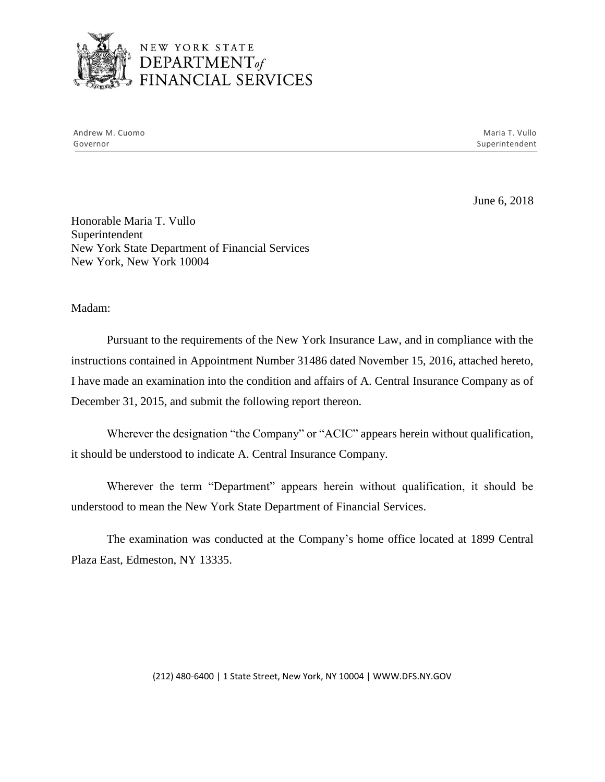

## NEW YORK STATE <sup>1</sup>*DEPARTMENTof*  FINANCIAL SERVICES

Andrew M. Cuomo **Maria T. Vullo** Maria T. Vullo Maria T. Vullo Maria T. Vullo Maria T. Vullo Maria T. Vullo Governor Superintendent Superintendent Superintendent Superintendent Superintendent Superintendent Superintendent

June 6, 2018

Honorable Maria T. Vullo Superintendent New York State Department of Financial Services New York, New York 10004

Madam:

Pursuant to the requirements of the New York Insurance Law, and in compliance with the instructions contained in Appointment Number 31486 dated November 15, 2016, attached hereto, I have made an examination into the condition and affairs of A. Central Insurance Company as of December 31, 2015, and submit the following report thereon.

Wherever the designation "the Company" or "ACIC" appears herein without qualification, it should be understood to indicate A. Central Insurance Company.

 Wherever the term "Department" appears herein without qualification, it should be understood to mean the New York State Department of Financial Services.

The examination was conducted at the Company's home office located at 1899 Central Plaza East, Edmeston, NY 13335.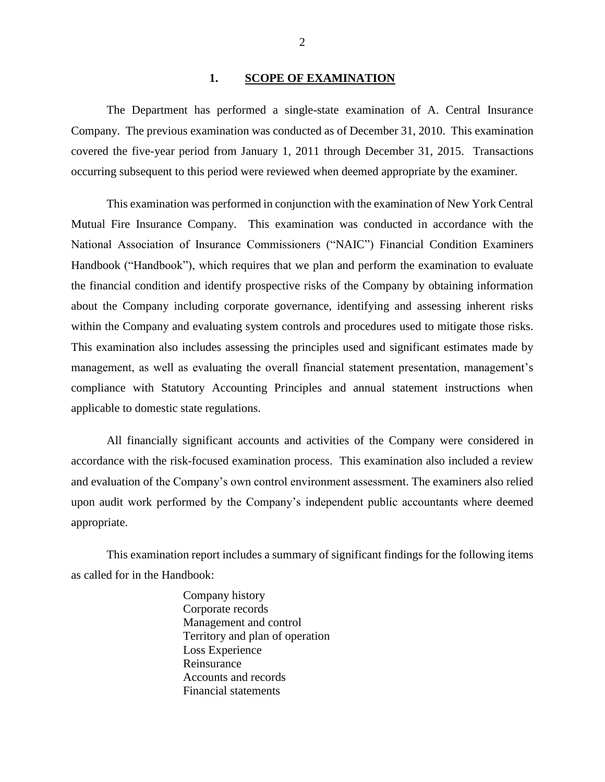#### <span id="page-3-0"></span>**1. SCOPE OF EXAMINATION**

The Department has performed a single-state examination of A. Central Insurance Company. The previous examination was conducted as of December 31, 2010. This examination covered the five-year period from January 1, 2011 through December 31, 2015. Transactions occurring subsequent to this period were reviewed when deemed appropriate by the examiner.

 management, as well as evaluating the overall financial statement presentation, management's This examination was performed in conjunction with the examination of New York Central Mutual Fire Insurance Company. This examination was conducted in accordance with the National Association of Insurance Commissioners ("NAIC") Financial Condition Examiners Handbook ("Handbook"), which requires that we plan and perform the examination to evaluate the financial condition and identify prospective risks of the Company by obtaining information about the Company including corporate governance, identifying and assessing inherent risks within the Company and evaluating system controls and procedures used to mitigate those risks. This examination also includes assessing the principles used and significant estimates made by compliance with Statutory Accounting Principles and annual statement instructions when applicable to domestic state regulations.

All financially significant accounts and activities of the Company were considered in accordance with the risk-focused examination process. This examination also included a review and evaluation of the Company's own control environment assessment. The examiners also relied upon audit work performed by the Company's independent public accountants where deemed appropriate.

This examination report includes a summary of significant findings for the following items as called for in the Handbook:

> Company history Corporate records Management and control Territory and plan of operation Loss Experience Reinsurance Accounts and records Financial statements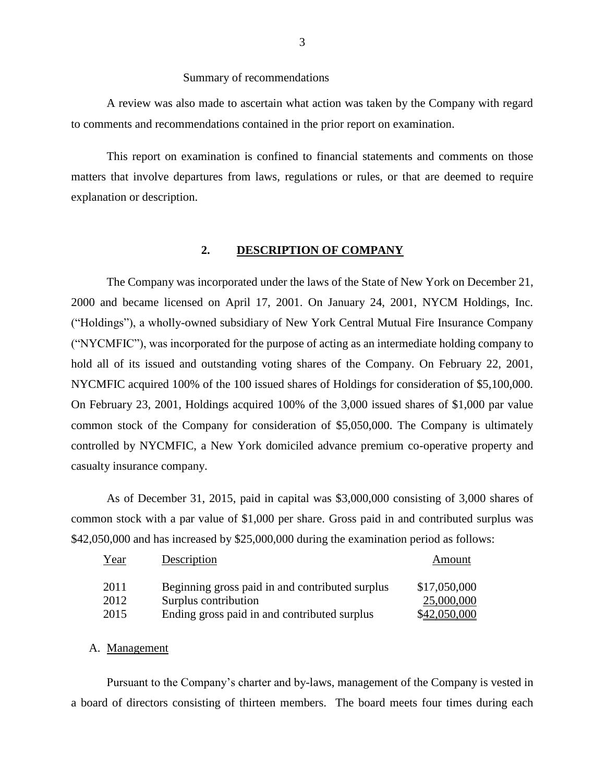#### Summary of recommendations

A review was also made to ascertain what action was taken by the Company with regard to comments and recommendations contained in the prior report on examination.

This report on examination is confined to financial statements and comments on those matters that involve departures from laws, regulations or rules, or that are deemed to require explanation or description.

#### <span id="page-4-0"></span>**2. DESCRIPTION OF COMPANY**

The Company was incorporated under the laws of the State of New York on December 21, 2000 and became licensed on April 17, 2001. On January 24, 2001, NYCM Holdings, Inc. ("Holdings"), a wholly-owned subsidiary of New York Central Mutual Fire Insurance Company ("NYCMFIC"), was incorporated for the purpose of acting as an intermediate holding company to hold all of its issued and outstanding voting shares of the Company. On February 22, 2001, NYCMFIC acquired 100% of the 100 issued shares of Holdings for consideration of \$5,100,000. On February 23, 2001, Holdings acquired 100% of the 3,000 issued shares of \$1,000 par value common stock of the Company for consideration of \$5,050,000. The Company is ultimately controlled by NYCMFIC, a New York domiciled advance premium co-operative property and casualty insurance company.

As of December 31, 2015, paid in capital was \$3,000,000 consisting of 3,000 shares of common stock with a par value of \$1,000 per share. Gross paid in and contributed surplus was \$42,050,000 and has increased by \$25,000,000 during the examination period as follows:

| Year | Description                                     | Amount       |
|------|-------------------------------------------------|--------------|
| 2011 | Beginning gross paid in and contributed surplus | \$17,050,000 |
| 2012 | Surplus contribution                            | 25,000,000   |
| 2015 | Ending gross paid in and contributed surplus    | \$42,050,000 |

#### <span id="page-4-1"></span>A. Management

Pursuant to the Company's charter and by-laws, management of the Company is vested in a board of directors consisting of thirteen members. The board meets four times during each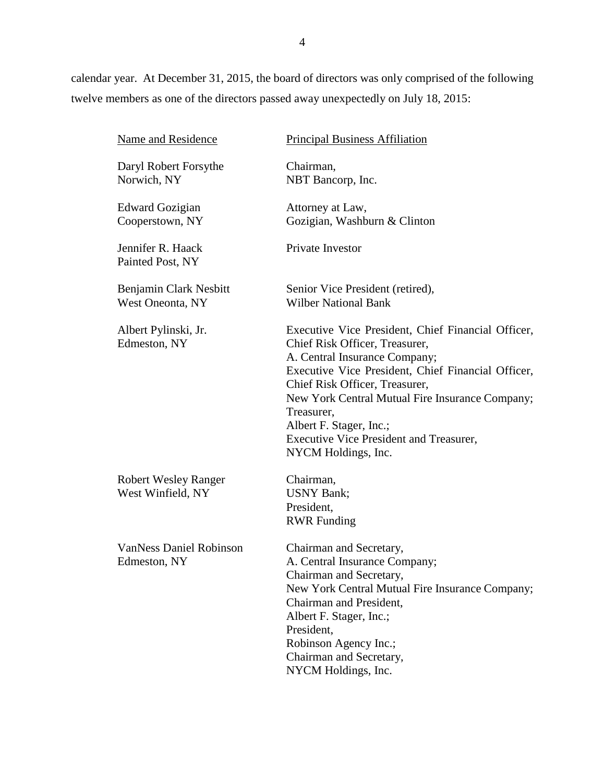calendar year. At December 31, 2015, the board of directors was only comprised of the following twelve members as one of the directors passed away unexpectedly on July 18, 2015:

| Name and Residence                               | <b>Principal Business Affiliation</b>                                                                                                                                                                                                                                                                                                                                              |
|--------------------------------------------------|------------------------------------------------------------------------------------------------------------------------------------------------------------------------------------------------------------------------------------------------------------------------------------------------------------------------------------------------------------------------------------|
| Daryl Robert Forsythe<br>Norwich, NY             | Chairman,<br>NBT Bancorp, Inc.                                                                                                                                                                                                                                                                                                                                                     |
| <b>Edward Gozigian</b><br>Cooperstown, NY        | Attorney at Law,<br>Gozigian, Washburn & Clinton                                                                                                                                                                                                                                                                                                                                   |
| Jennifer R. Haack<br>Painted Post, NY            | Private Investor                                                                                                                                                                                                                                                                                                                                                                   |
| Benjamin Clark Nesbitt<br>West Oneonta, NY       | Senior Vice President (retired),<br><b>Wilber National Bank</b>                                                                                                                                                                                                                                                                                                                    |
| Albert Pylinski, Jr.<br>Edmeston, NY             | Executive Vice President, Chief Financial Officer,<br>Chief Risk Officer, Treasurer,<br>A. Central Insurance Company;<br>Executive Vice President, Chief Financial Officer,<br>Chief Risk Officer, Treasurer,<br>New York Central Mutual Fire Insurance Company;<br>Treasurer,<br>Albert F. Stager, Inc.;<br><b>Executive Vice President and Treasurer,</b><br>NYCM Holdings, Inc. |
| <b>Robert Wesley Ranger</b><br>West Winfield, NY | Chairman,<br><b>USNY Bank</b> ;<br>President,<br><b>RWR Funding</b>                                                                                                                                                                                                                                                                                                                |
| <b>VanNess Daniel Robinson</b><br>Edmeston, NY   | Chairman and Secretary,<br>A. Central Insurance Company;<br>Chairman and Secretary,<br>New York Central Mutual Fire Insurance Company;<br>Chairman and President,<br>Albert F. Stager, Inc.;<br>President,<br>Robinson Agency Inc.;<br>Chairman and Secretary,<br>NYCM Holdings, Inc.                                                                                              |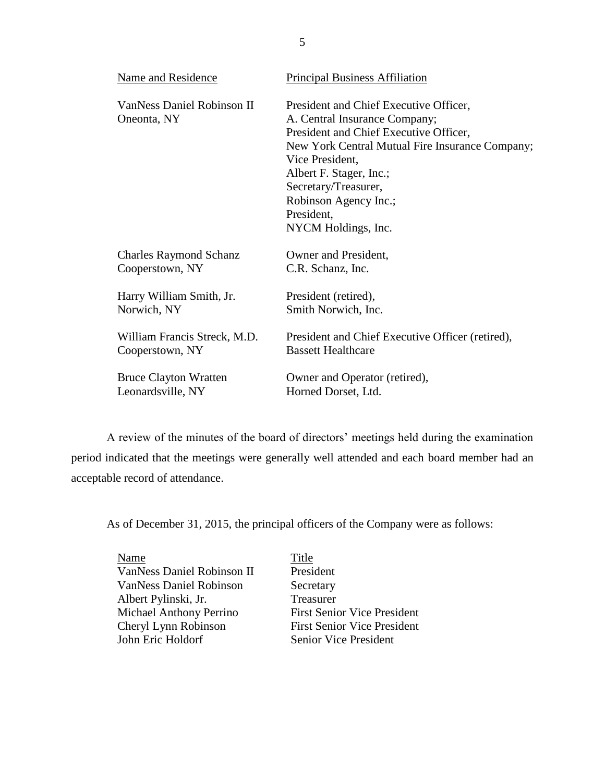| Name and Residence                        | <b>Principal Business Affiliation</b>                                                                                                                                                                                                                                                                    |  |  |
|-------------------------------------------|----------------------------------------------------------------------------------------------------------------------------------------------------------------------------------------------------------------------------------------------------------------------------------------------------------|--|--|
| VanNess Daniel Robinson II<br>Oneonta, NY | President and Chief Executive Officer,<br>A. Central Insurance Company;<br>President and Chief Executive Officer,<br>New York Central Mutual Fire Insurance Company;<br>Vice President,<br>Albert F. Stager, Inc.;<br>Secretary/Treasurer,<br>Robinson Agency Inc.;<br>President,<br>NYCM Holdings, Inc. |  |  |
| <b>Charles Raymond Schanz</b>             | Owner and President,                                                                                                                                                                                                                                                                                     |  |  |
| Cooperstown, NY                           | C.R. Schanz, Inc.                                                                                                                                                                                                                                                                                        |  |  |
| Harry William Smith, Jr.                  | President (retired),                                                                                                                                                                                                                                                                                     |  |  |
| Norwich, NY                               | Smith Norwich, Inc.                                                                                                                                                                                                                                                                                      |  |  |
| William Francis Streck, M.D.              | President and Chief Executive Officer (retired),                                                                                                                                                                                                                                                         |  |  |
| Cooperstown, NY                           | <b>Bassett Healthcare</b>                                                                                                                                                                                                                                                                                |  |  |
| <b>Bruce Clayton Wratten</b>              | Owner and Operator (retired),                                                                                                                                                                                                                                                                            |  |  |
| Leonardsville, NY                         | Horned Dorset, Ltd.                                                                                                                                                                                                                                                                                      |  |  |

 A review of the minutes of the board of directors' meetings held during the examination period indicated that the meetings were generally well attended and each board member had an acceptable record of attendance.

As of December 31, 2015, the principal officers of the Company were as follows:

Name Title VanNess Daniel Robinson II President VanNess Daniel Robinson Secretary Albert Pylinski, Jr. Treasurer Michael Anthony Perrino<br>
First Senior Vice President<br>
First Senior Vice President<br>
First Senior Vice President John Eric Holdorf Senior Vice President

First Senior Vice President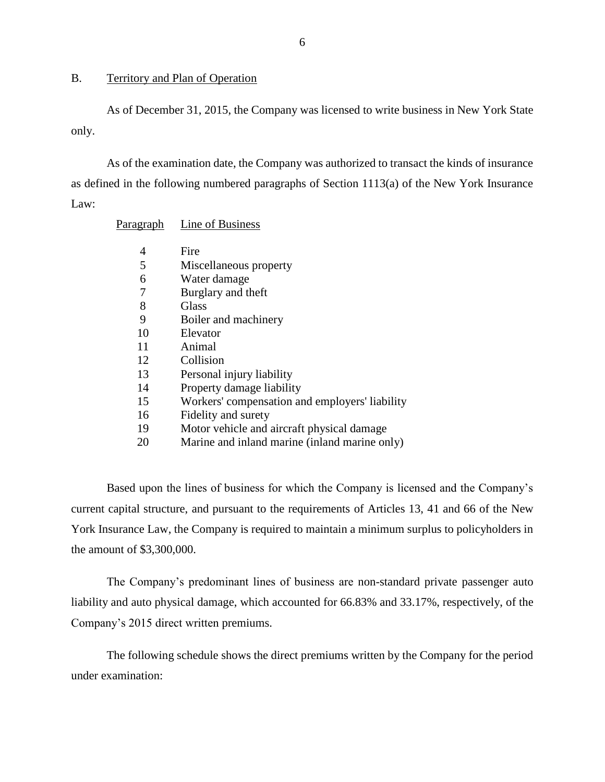#### <span id="page-7-0"></span>B. Territory and Plan of Operation

As of December 31, 2015, the Company was licensed to write business in New York State only.

As of the examination date, the Company was authorized to transact the kinds of insurance as defined in the following numbered paragraphs of Section 1113(a) of the New York Insurance Law:

| <u>Paragraph</u> | Line of Business                               |
|------------------|------------------------------------------------|
| 4                | Fire                                           |
| 5                | Miscellaneous property                         |
| 6                | Water damage                                   |
| 7                | Burglary and theft                             |
| 8                | Glass                                          |
| 9                | Boiler and machinery                           |
| 10               | Elevator                                       |
| 11               | Animal                                         |
| 12               | Collision                                      |
| 13               | Personal injury liability                      |
| 14               | Property damage liability                      |
| 15               | Workers' compensation and employers' liability |
| 16               | Fidelity and surety                            |
| 19               | Motor vehicle and aircraft physical damage     |
| 20               | Marine and inland marine (inland marine only)  |

Based upon the lines of business for which the Company is licensed and the Company's current capital structure, and pursuant to the requirements of Articles 13, 41 and 66 of the New York Insurance Law, the Company is required to maintain a minimum surplus to policyholders in the amount of \$3,300,000.

The Company's predominant lines of business are non-standard private passenger auto liability and auto physical damage, which accounted for 66.83% and 33.17%, respectively, of the Company's 2015 direct written premiums.

The following schedule shows the direct premiums written by the Company for the period under examination: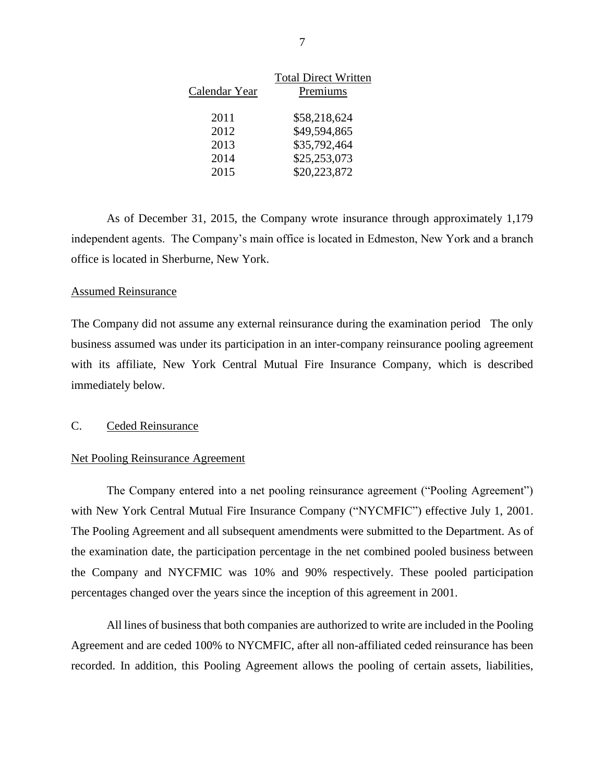| <b>Total Direct Written</b> |
|-----------------------------|
| Premiums                    |
| \$58,218,624                |
| \$49,594,865                |
| \$35,792,464                |
| \$25,253,073                |
| \$20,223,872                |
|                             |

As of December 31, 2015, the Company wrote insurance through approximately 1,179 independent agents. The Company's main office is located in Edmeston, New York and a branch office is located in Sherburne, New York.

#### Assumed Reinsurance

The Company did not assume any external reinsurance during the examination period The only business assumed was under its participation in an inter-company reinsurance pooling agreement with its affiliate, New York Central Mutual Fire Insurance Company, which is described immediately below.

#### <span id="page-8-0"></span>C. Ceded Reinsurance

#### Net Pooling Reinsurance Agreement

 The Company entered into a net pooling reinsurance agreement ("Pooling Agreement") with New York Central Mutual Fire Insurance Company ("NYCMFIC") effective July 1, 2001. The Pooling Agreement and all subsequent amendments were submitted to the Department. As of the examination date, the participation percentage in the net combined pooled business between the Company and NYCFMIC was 10% and 90% respectively. These pooled participation percentages changed over the years since the inception of this agreement in 2001.

All lines of business that both companies are authorized to write are included in the Pooling Agreement and are ceded 100% to NYCMFIC, after all non-affiliated ceded reinsurance has been recorded. In addition, this Pooling Agreement allows the pooling of certain assets, liabilities,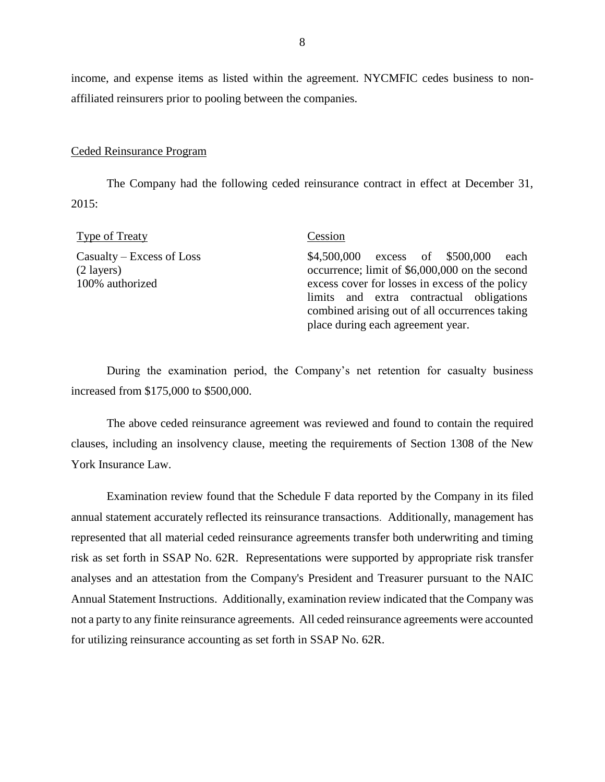income, and expense items as listed within the agreement. NYCMFIC cedes business to nonaffiliated reinsurers prior to pooling between the companies.

#### Ceded Reinsurance Program

The Company had the following ceded reinsurance contract in effect at December 31, 2015:

| Type of Treaty                                                        | Cession                                                                                                                                                                                                                                                                         |
|-----------------------------------------------------------------------|---------------------------------------------------------------------------------------------------------------------------------------------------------------------------------------------------------------------------------------------------------------------------------|
| $Casudty - Excess of Loss$<br>$(2 \text{ layers})$<br>100% authorized | \$4,500,000 excess of \$500,000<br>each<br>occurrence; limit of \$6,000,000 on the second<br>excess cover for losses in excess of the policy<br>limits and extra contractual obligations<br>combined arising out of all occurrences taking<br>place during each agreement year. |

 During the examination period, the Company's net retention for casualty business increased from \$175,000 to \$500,000.

The above ceded reinsurance agreement was reviewed and found to contain the required clauses, including an insolvency clause, meeting the requirements of Section 1308 of the New York Insurance Law.

Examination review found that the Schedule F data reported by the Company in its filed annual statement accurately reflected its reinsurance transactions. Additionally, management has represented that all material ceded reinsurance agreements transfer both underwriting and timing risk as set forth in SSAP No. 62R. Representations were supported by appropriate risk transfer analyses and an attestation from the Company's President and Treasurer pursuant to the NAIC Annual Statement Instructions. Additionally, examination review indicated that the Company was not a party to any finite reinsurance agreements. All ceded reinsurance agreements were accounted for utilizing reinsurance accounting as set forth in SSAP No. 62R.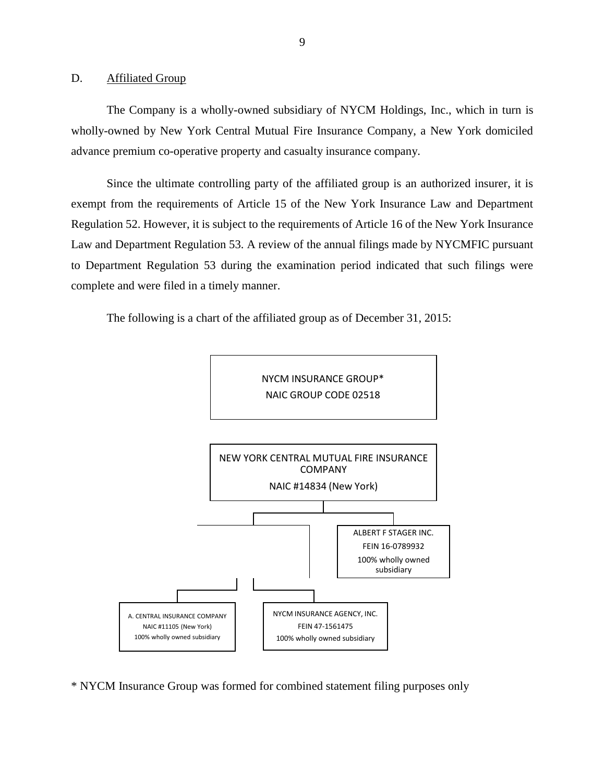#### <span id="page-10-0"></span>D. Affiliated Group

The Company is a wholly-owned subsidiary of NYCM Holdings, Inc., which in turn is wholly-owned by New York Central Mutual Fire Insurance Company, a New York domiciled advance premium co-operative property and casualty insurance company.

Since the ultimate controlling party of the affiliated group is an authorized insurer, it is exempt from the requirements of Article 15 of the New York Insurance Law and Department Regulation 52. However, it is subject to the requirements of Article 16 of the New York Insurance Law and Department Regulation 53. A review of the annual filings made by NYCMFIC pursuant to Department Regulation 53 during the examination period indicated that such filings were complete and were filed in a timely manner.

The following is a chart of the affiliated group as of December 31, 2015:



\* NYCM Insurance Group was formed for combined statement filing purposes only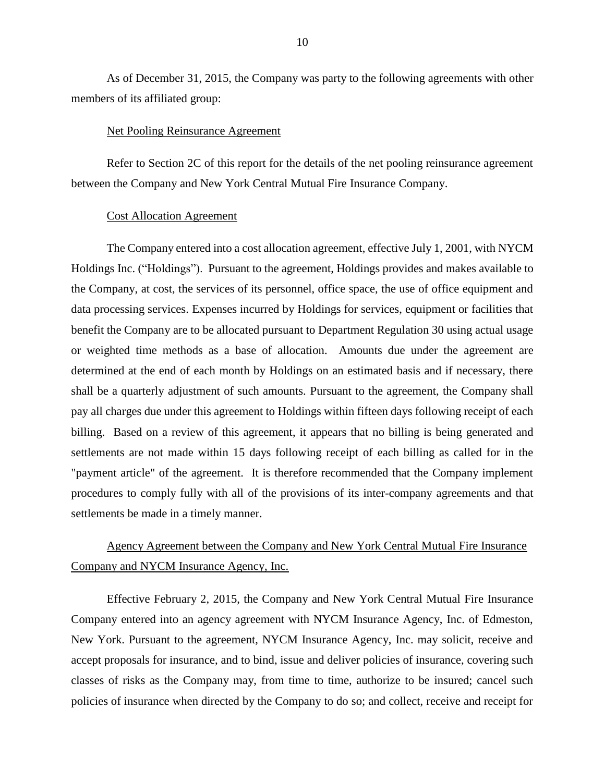As of December 31, 2015, the Company was party to the following agreements with other members of its affiliated group:

#### Net Pooling Reinsurance Agreement

Refer to Section 2C of this report for the details of the net pooling reinsurance agreement between the Company and New York Central Mutual Fire Insurance Company.

#### Cost Allocation Agreement

The Company entered into a cost allocation agreement, effective July 1, 2001, with NYCM Holdings Inc. ("Holdings"). Pursuant to the agreement, Holdings provides and makes available to the Company, at cost, the services of its personnel, office space, the use of office equipment and data processing services. Expenses incurred by Holdings for services, equipment or facilities that benefit the Company are to be allocated pursuant to Department Regulation 30 using actual usage or weighted time methods as a base of allocation. Amounts due under the agreement are determined at the end of each month by Holdings on an estimated basis and if necessary, there shall be a quarterly adjustment of such amounts. Pursuant to the agreement, the Company shall pay all charges due under this agreement to Holdings within fifteen days following receipt of each billing. Based on a review of this agreement, it appears that no billing is being generated and settlements are not made within 15 days following receipt of each billing as called for in the "payment article" of the agreement. It is therefore recommended that the Company implement procedures to comply fully with all of the provisions of its inter-company agreements and that settlements be made in a timely manner.

## <span id="page-11-0"></span>Agency Agreement between the Company and New York Central Mutual Fire Insurance Company and NYCM Insurance Agency, Inc.

Effective February 2, 2015, the Company and New York Central Mutual Fire Insurance Company entered into an agency agreement with NYCM Insurance Agency, Inc. of Edmeston, New York. Pursuant to the agreement, NYCM Insurance Agency, Inc. may solicit, receive and accept proposals for insurance, and to bind, issue and deliver policies of insurance, covering such classes of risks as the Company may, from time to time, authorize to be insured; cancel such policies of insurance when directed by the Company to do so; and collect, receive and receipt for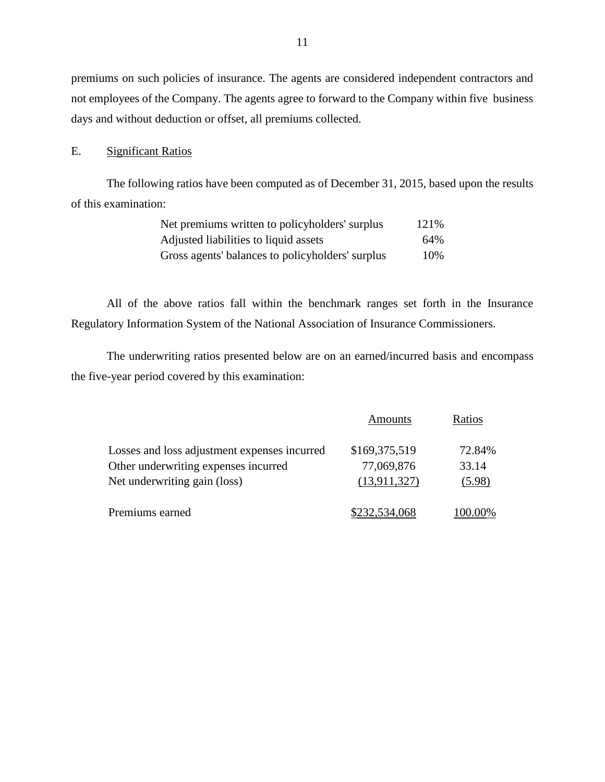premiums on such policies of insurance. The agents are considered independent contractors and not employees of the Company. The agents agree to forward to the Company within five business days and without deduction or offset, all premiums collected.

#### <span id="page-12-0"></span>E. Significant Ratios

The following ratios have been computed as of December 31, 2015, based upon the results of this examination:

| Net premiums written to policyholders' surplus   | 121\% |
|--------------------------------------------------|-------|
| Adjusted liabilities to liquid assets            | 64%   |
| Gross agents' balances to policyholders' surplus | 10%   |

All of the above ratios fall within the benchmark ranges set forth in the Insurance Regulatory Information System of the National Association of Insurance Commissioners.

The underwriting ratios presented below are on an earned/incurred basis and encompass the five-year period covered by this examination:

|                                              | Amounts       | Ratios  |
|----------------------------------------------|---------------|---------|
| Losses and loss adjustment expenses incurred | \$169,375,519 | 72.84%  |
| Other underwriting expenses incurred         | 77,069,876    | 33.14   |
| Net underwriting gain (loss)                 | (13,911,327)  | (5.98)  |
| Premiums earned                              | \$232,534,068 | 100.00% |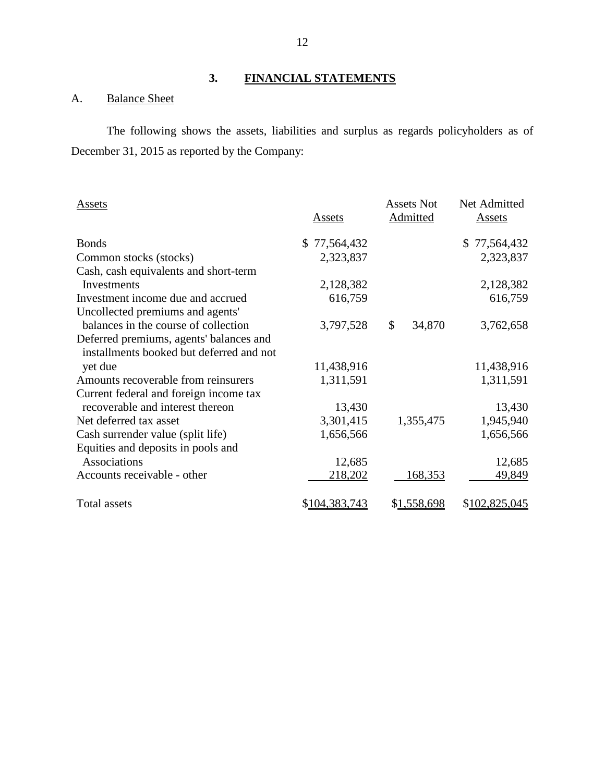## **3. FINANCIAL STATEMENTS**

## <span id="page-13-1"></span><span id="page-13-0"></span>A. Balance Sheet

The following shows the assets, liabilities and surplus as regards policyholders as of December 31, 2015 as reported by the Company:

| Assets                                   | Assets           | <b>Assets Not</b><br>Admitted | Net Admitted<br>Assets |
|------------------------------------------|------------------|-------------------------------|------------------------|
| <b>Bonds</b>                             | 77,564,432<br>\$ |                               | 77,564,432             |
| Common stocks (stocks)                   | 2,323,837        |                               | 2,323,837              |
| Cash, cash equivalents and short-term    |                  |                               |                        |
| Investments                              | 2,128,382        |                               | 2,128,382              |
| Investment income due and accrued        | 616,759          |                               | 616,759                |
| Uncollected premiums and agents'         |                  |                               |                        |
| balances in the course of collection     | 3,797,528        | \$<br>34,870                  | 3,762,658              |
| Deferred premiums, agents' balances and  |                  |                               |                        |
| installments booked but deferred and not |                  |                               |                        |
| yet due                                  | 11,438,916       |                               | 11,438,916             |
| Amounts recoverable from reinsurers      | 1,311,591        |                               | 1,311,591              |
| Current federal and foreign income tax   |                  |                               |                        |
| recoverable and interest thereon         | 13,430           |                               | 13,430                 |
| Net deferred tax asset                   | 3,301,415        | 1,355,475                     | 1,945,940              |
| Cash surrender value (split life)        | 1,656,566        |                               | 1,656,566              |
| Equities and deposits in pools and       |                  |                               |                        |
| Associations                             | 12,685           |                               | 12,685                 |
| Accounts receivable - other              | 218,202          | 168,353                       | 49,849                 |
| Total assets                             | \$104,383,743    | \$1,558,698                   | \$102,825,045          |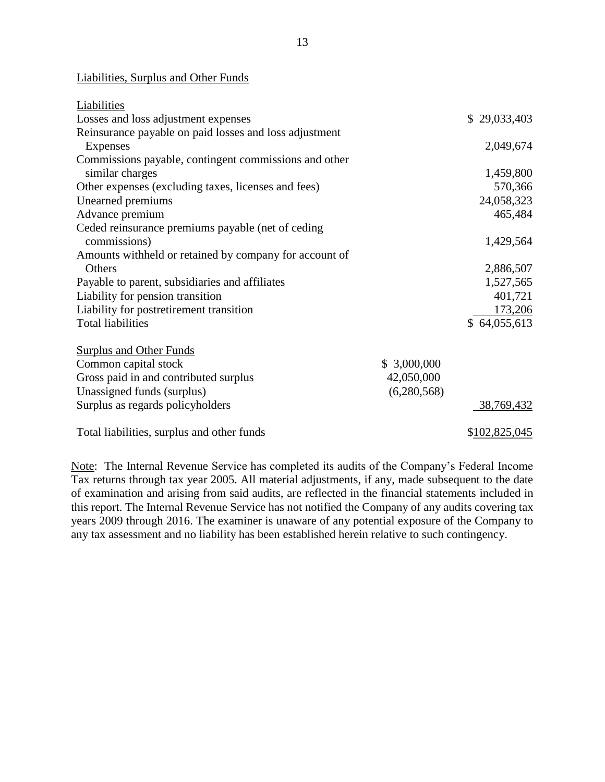#### Liabilities, Surplus and Other Funds

| Liabilities                                            |             |               |
|--------------------------------------------------------|-------------|---------------|
| Losses and loss adjustment expenses                    |             | \$29,033,403  |
| Reinsurance payable on paid losses and loss adjustment |             |               |
| Expenses                                               |             | 2,049,674     |
| Commissions payable, contingent commissions and other  |             |               |
| similar charges                                        |             | 1,459,800     |
| Other expenses (excluding taxes, licenses and fees)    |             | 570,366       |
| Unearned premiums                                      |             | 24,058,323    |
| Advance premium                                        |             | 465,484       |
| Ceded reinsurance premiums payable (net of ceding      |             |               |
| commissions)                                           |             | 1,429,564     |
| Amounts withheld or retained by company for account of |             |               |
| <b>Others</b>                                          |             | 2,886,507     |
| Payable to parent, subsidiaries and affiliates         |             | 1,527,565     |
| Liability for pension transition                       |             | 401,721       |
| Liability for postretirement transition                |             | 173,206       |
| <b>Total liabilities</b>                               |             | \$64,055,613  |
|                                                        |             |               |
| <b>Surplus and Other Funds</b>                         |             |               |
| Common capital stock                                   | \$3,000,000 |               |
| Gross paid in and contributed surplus                  | 42,050,000  |               |
| Unassigned funds (surplus)                             | (6,280,568) |               |
| Surplus as regards policyholders                       |             | 38,769,432    |
| Total liabilities, surplus and other funds             |             | \$102,825,045 |

Note: The Internal Revenue Service has completed its audits of the Company's Federal Income Tax returns through tax year 2005. All material adjustments, if any, made subsequent to the date of examination and arising from said audits, are reflected in the financial statements included in this report. The Internal Revenue Service has not notified the Company of any audits covering tax years 2009 through 2016. The examiner is unaware of any potential exposure of the Company to any tax assessment and no liability has been established herein relative to such contingency.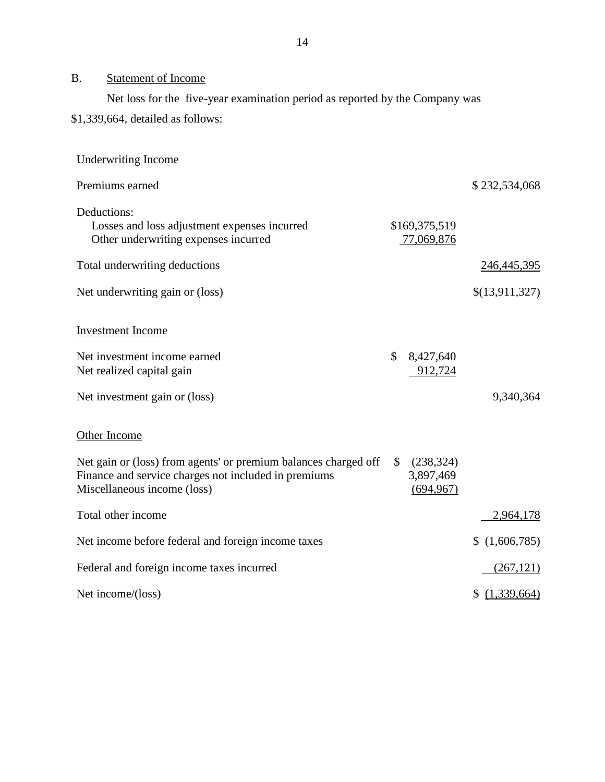## <span id="page-15-0"></span>B. Statement of Income

Net loss for the five-year examination period as reported by the Company was

## \$1,339,664, detailed as follows:

| <b>Underwriting Income</b>                                                                                                                             |              |                                       |                |
|--------------------------------------------------------------------------------------------------------------------------------------------------------|--------------|---------------------------------------|----------------|
| Premiums earned                                                                                                                                        |              |                                       | \$232,534,068  |
| Deductions:<br>Losses and loss adjustment expenses incurred<br>Other underwriting expenses incurred                                                    |              | \$169,375,519<br>77,069,876           |                |
| Total underwriting deductions                                                                                                                          |              |                                       | 246, 445, 395  |
| Net underwriting gain or (loss)                                                                                                                        |              |                                       | \$(13,911,327) |
| <b>Investment Income</b>                                                                                                                               |              |                                       |                |
| Net investment income earned<br>Net realized capital gain                                                                                              | $\mathbb{S}$ | 8,427,640<br>912,724                  |                |
| Net investment gain or (loss)                                                                                                                          |              |                                       | 9,340,364      |
| Other Income                                                                                                                                           |              |                                       |                |
| Net gain or (loss) from agents' or premium balances charged off<br>Finance and service charges not included in premiums<br>Miscellaneous income (loss) | $\mathbb{S}$ | (238, 324)<br>3,897,469<br>(694, 967) |                |
| Total other income                                                                                                                                     |              |                                       | 2,964,178      |
| Net income before federal and foreign income taxes                                                                                                     |              |                                       | (1,606,785)    |
| Federal and foreign income taxes incurred                                                                                                              |              |                                       | (267, 121)     |
| Net income/(loss)                                                                                                                                      |              |                                       | \$(1,339,664)  |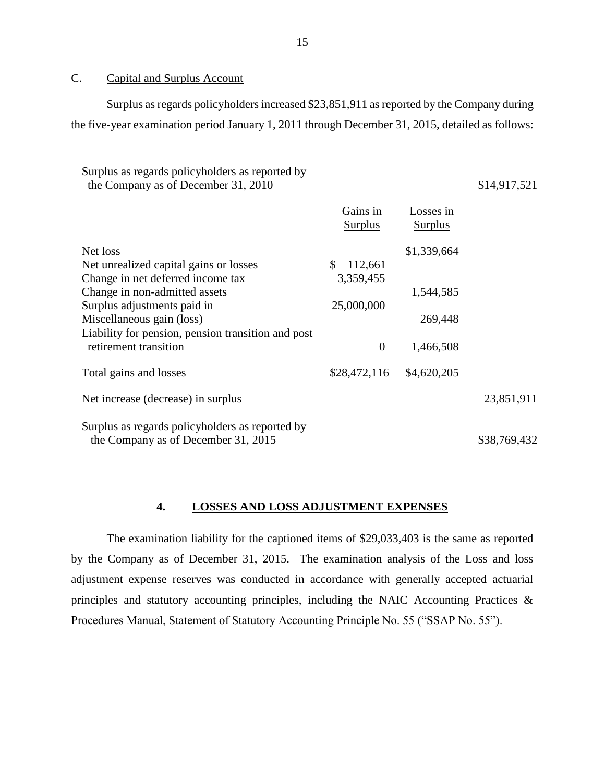### <span id="page-16-0"></span>C. Capital and Surplus Account

Surplus as regards policyholders increased \$23,851,911 as reported by the Company during the five-year examination period January 1, 2011 through December 31, 2015, detailed as follows:

| Surplus as regards policyholders as reported by<br>the Company as of December 31, 2010                                                                                                                                                                              |                                                              |                                                  | \$14,917,521 |
|---------------------------------------------------------------------------------------------------------------------------------------------------------------------------------------------------------------------------------------------------------------------|--------------------------------------------------------------|--------------------------------------------------|--------------|
|                                                                                                                                                                                                                                                                     | Gains in<br><b>Surplus</b>                                   | Losses in<br><b>Surplus</b>                      |              |
| Net loss<br>Net unrealized capital gains or losses<br>Change in net deferred income tax<br>Change in non-admitted assets<br>Surplus adjustments paid in<br>Miscellaneous gain (loss)<br>Liability for pension, pension transition and post<br>retirement transition | \$<br>112,661<br>3,359,455<br>25,000,000<br>$\boldsymbol{0}$ | \$1,339,664<br>1,544,585<br>269,448<br>1,466,508 |              |
| Total gains and losses                                                                                                                                                                                                                                              | \$28,472,116                                                 | \$4,620,205                                      |              |
| Net increase (decrease) in surplus                                                                                                                                                                                                                                  |                                                              |                                                  | 23,851,911   |
| Surplus as regards policyholders as reported by<br>the Company as of December 31, 2015                                                                                                                                                                              |                                                              |                                                  | \$38,769,432 |

#### **4. LOSSES AND LOSS ADJUSTMENT EXPENSES**

<span id="page-16-1"></span>The examination liability for the captioned items of \$29,033,403 is the same as reported by the Company as of December 31, 2015. The examination analysis of the Loss and loss adjustment expense reserves was conducted in accordance with generally accepted actuarial principles and statutory accounting principles, including the NAIC Accounting Practices & Procedures Manual, Statement of Statutory Accounting Principle No. 55 ("SSAP No. 55").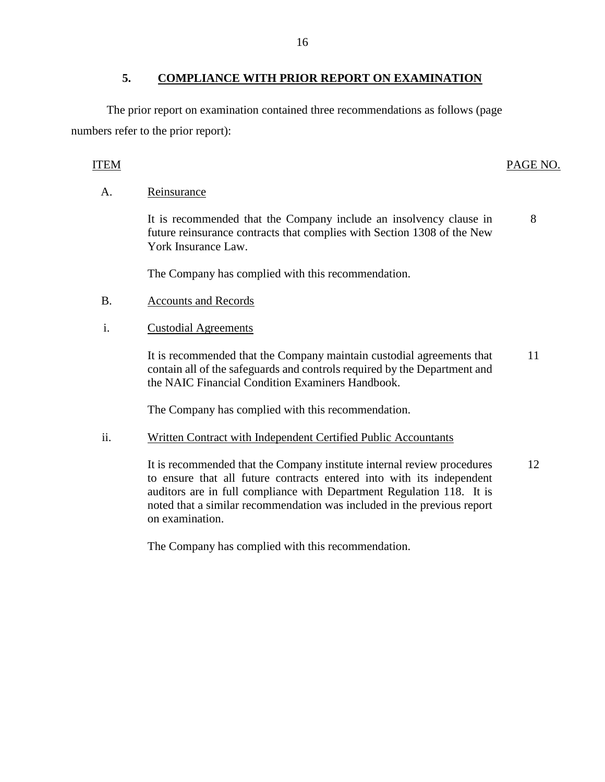### **5. COMPLIANCE WITH PRIOR REPORT ON EXAMINATION**

<span id="page-17-0"></span>The prior report on examination contained three recommendations as follows (page numbers refer to the prior report):

## ITEM PAGE NO.

### A. Reinsurance

It is recommended that the Company include an insolvency clause in future reinsurance contracts that complies with Section 1308 of the New York Insurance Law. 8

The Company has complied with this recommendation.

B. Accounts and Records

#### i. Custodial Agreements

It is recommended that the Company maintain custodial agreements that 11 contain all of the safeguards and controls required by the Department and the NAIC Financial Condition Examiners Handbook.

The Company has complied with this recommendation.

#### ii. Written Contract with Independent Certified Public Accountants

It is recommended that the Company institute internal review procedures 12 to ensure that all future contracts entered into with its independent auditors are in full compliance with Department Regulation 118. It is noted that a similar recommendation was included in the previous report on examination.

The Company has complied with this recommendation.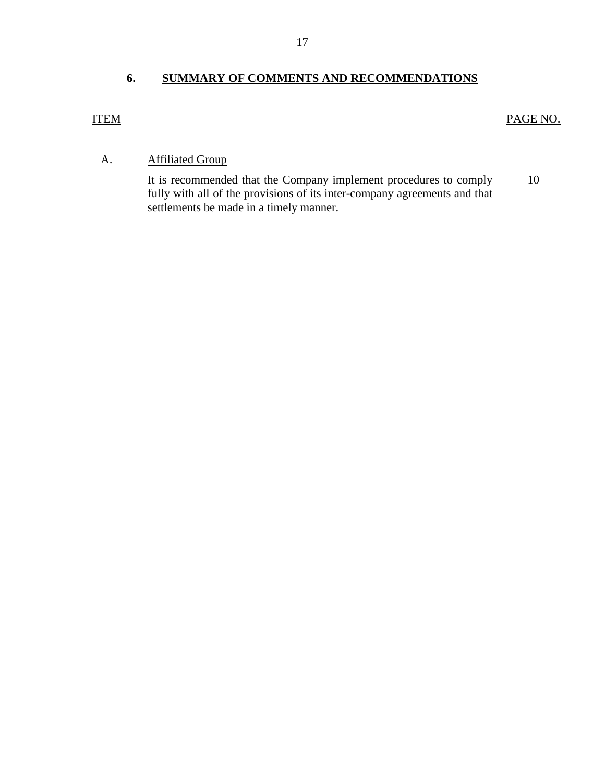## **6. SUMMARY OF COMMENTS AND RECOMMENDATIONS**

## <span id="page-18-0"></span>ITEM PAGE NO.

## A. Affiliated Group

It is recommended that the Company implement procedures to comply [10](#page-11-0)  fully with all of the provisions of its inter-company agreements and that settlements be made in a timely manner.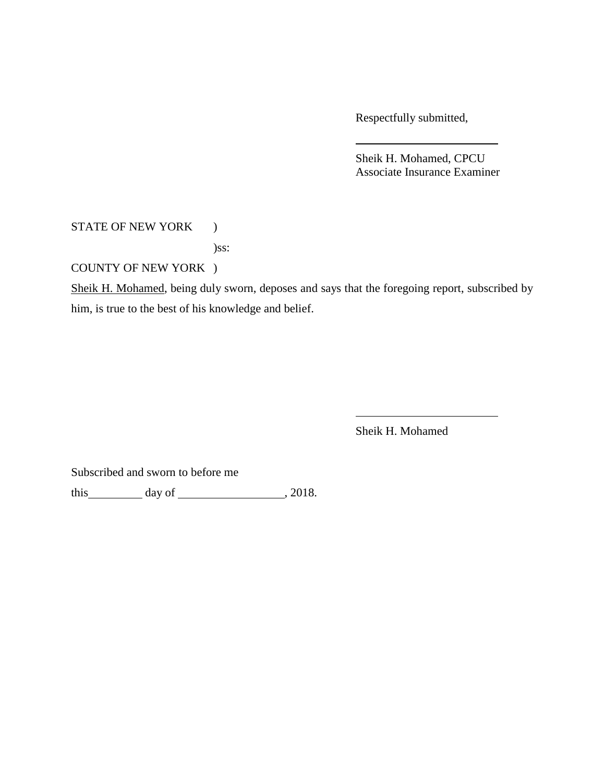Respectfully submitted,

Sheik H. Mohamed, CPCU Associate Insurance Examiner

STATE OF NEW YORK )

)ss:

COUNTY OF NEW YORK )

Sheik H. Mohamed, being duly sworn, deposes and says that the foregoing report, subscribed by him, is true to the best of his knowledge and belief.

Sheik H. Mohamed

Subscribed and sworn to before me

this  $\qquad \qquad$  day of  $\qquad \qquad$  , 2018.